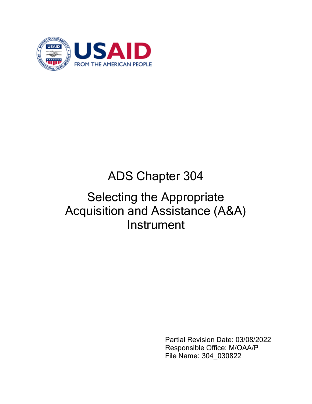

# ADS Chapter 304

# Selecting the Appropriate Acquisition and Assistance (A&A) **Instrument**

Partial Revision Date: 03/08/2022 Responsible Office: M/OAA/P File Name: 304\_030822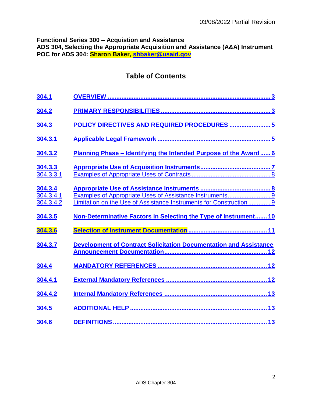**Functional Series 300 – Acquistion and Assistance ADS 304, Selecting the Appropriate Acquisition and Assistance (A&A) Instrument POC for ADS 304: Sharon Baker, [shbaker@usaid.gov](mailto:shbaker@usaid.gov)**

# **Table of Contents**

| 304.1                             |                                                                                                                                |
|-----------------------------------|--------------------------------------------------------------------------------------------------------------------------------|
| 304.2                             |                                                                                                                                |
| 304.3                             | POLICY DIRECTIVES AND REQUIRED PROCEDURES  5                                                                                   |
| 304.3.1                           |                                                                                                                                |
| 304.3.2                           | Planning Phase - Identifying the Intended Purpose of the Award 6                                                               |
| 304.3.3<br>304.3.3.1              |                                                                                                                                |
| 304.3.4<br>304.3.4.1<br>304.3.4.2 | Examples of Appropriate Uses of Assistance Instruments 9<br>Limitation on the Use of Assistance Instruments for Construction 9 |
|                                   |                                                                                                                                |
| 304.3.5                           | Non-Determinative Factors in Selecting the Type of Instrument 10                                                               |
| 304.3.6                           |                                                                                                                                |
| 304.3.7                           |                                                                                                                                |
| 304.4                             |                                                                                                                                |
| 304.4.1                           |                                                                                                                                |
| 304.4.2                           |                                                                                                                                |
| 304.5                             |                                                                                                                                |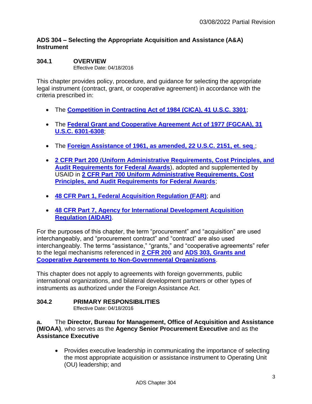# **ADS 304 – Selecting the Appropriate Acquisition and Assistance (A&A) Instrument**

#### <span id="page-2-0"></span>**304.1 OVERVIEW**  Effective Date: 04/18/2016

This chapter provides policy, procedure, and guidance for selecting the appropriate legal instrument (contract, grant, or cooperative agreement) in accordance with the criteria prescribed in:

- The **[Competition in Contracting Act of 1984 \(CICA\), 41 U.S.C. 3301](http://www.gpo.gov/fdsys/granule/USCODE-2009-title41/USCODE-2009-title41-chap4-subchapIV-sec253)**;
- The **[Federal Grant and Cooperative Agreement Act of 1977 \(FGCAA\), 31](https://www.govinfo.gov/content/pkg/STATUTE-92/pdf/STATUTE-92-Pg3.pdf)  [U.S.C. 6301-6308](https://www.govinfo.gov/content/pkg/STATUTE-92/pdf/STATUTE-92-Pg3.pdf)**;
- The **[Foreign Assistance of 1961, as amended, 22 U.S.C. 2151, et. seq](http://www.gpo.gov/fdsys/pkg/CPRT-111JPRT51120/pdf/CPRT-111JPRT51120.pdf)**.;
- **[2 CFR Part 200](http://www.ecfr.gov/cgi-bin/text-idx?SID=10f34cdb5df1422174358acaaea3bfad&node=se2.1.200_1201&rgn=div8)** (**[Uniform Administrative Requirements, Cost Principles, and](http://www.ecfr.gov/cgi-bin/text-idx?SID=73c8d1965246d26849e0379a34c4ff57&tpl=/ecfrbrowse/Title02/2cfrv1_02.tpl#200)  [Audit Requirements for Federal Awards](http://www.ecfr.gov/cgi-bin/text-idx?SID=73c8d1965246d26849e0379a34c4ff57&tpl=/ecfrbrowse/Title02/2cfrv1_02.tpl#200)**), adopted and supplemented by USAID in **2 CFR Part 700 [Uniform Administrative Requirements, Cost](http://www.ecfr.gov/cgi-bin/text-idx?SID=18fce4045d211e74d460016792650587&node=20141219y1.358)  [Principles, and Audit Requirements for Federal Awards](http://www.ecfr.gov/cgi-bin/text-idx?SID=18fce4045d211e74d460016792650587&node=20141219y1.358)**;
- **48 CFR Part 1, [Federal Acquisition Regulation](http://www.gpo.gov/fdsys/pkg/CFR-2003-title48-vol1/content-detail.html) (FAR)**; and
- **48 CFR Part 7, [Agency for International Development Acquisition](http://www.gpo.gov/fdsys/search/pagedetails.action?collectionCode=CFR&searchPath=Title+48%2FChapter+7&granuleId=CFR-2003-title48-vol5-chap7&packageId=CFR-2003-title48-vol5&oldPath=Title+48%2FChapter+7&fromPageDetails=true&collapse=true&ycord=100)  [Regulation \(AIDAR\)](http://www.gpo.gov/fdsys/search/pagedetails.action?collectionCode=CFR&searchPath=Title+48%2FChapter+7&granuleId=CFR-2003-title48-vol5-chap7&packageId=CFR-2003-title48-vol5&oldPath=Title+48%2FChapter+7&fromPageDetails=true&collapse=true&ycord=100)**.

For the purposes of this chapter, the term "procurement" and "acquisition" are used interchangeably, and "procurement contract" and "contract" are also used interchangeably. The terms "assistance," "grants," and "cooperative agreements" refer to the legal mechanisms referenced in **[2 CFR 200](http://www.ecfr.gov/cgi-bin/text-idx?SID=10f34cdb5df1422174358acaaea3bfad&node=se2.1.200_1201&rgn=div8)** and **[ADS 303, Grants and](http://www.usaid.gov/ads/policy/300/303)  [Cooperative Agreements to Non-Governmental Organizations](http://www.usaid.gov/ads/policy/300/303)**.

This chapter does not apply to agreements with foreign governments, public international organizations, and bilateral development partners or other types of instruments as authorized under the Foreign Assistance Act.

# <span id="page-2-1"></span>**304.2 PRIMARY RESPONSIBILITIES**

Effective Date: 04/18/2016

**a.** The **Director, Bureau for Management, Office of Acquisition and Assistance (M/OAA)**, who serves as the **Agency Senior Procurement Executive** and as the **Assistance Executive**

• Provides executive leadership in communicating the importance of selecting the most appropriate acquisition or assistance instrument to Operating Unit (OU) leadership; and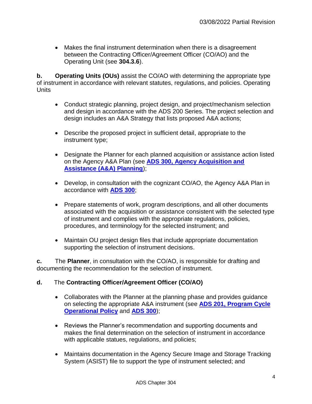Makes the final instrument determination when there is a disagreement between the Contracting Officer/Agreement Officer (CO/AO) and the Operating Unit (see **304.3.6**).

**b. Operating Units (OUs)** assist the CO/AO with determining the appropriate type of instrument in accordance with relevant statutes, regulations, and policies. Operating **Units** 

- Conduct strategic planning, project design, and project/mechanism selection and design in accordance with the ADS 200 Series. The project selection and design includes an A&A Strategy that lists proposed A&A actions;
- Describe the proposed project in sufficient detail, appropriate to the instrument type;
- Designate the Planner for each planned acquisition or assistance action listed on the Agency A&A Plan (see **[ADS 300, Agency Acquisition and](http://www.usaid.gov/ads/policy/300/300)  [Assistance \(A&A\) Planning](http://www.usaid.gov/ads/policy/300/300)**);
- Develop, in consultation with the cognizant CO/AO, the Agency A&A Plan in accordance with **[ADS 300](https://www.usaid.gov/ads/policy/300/300)**;
- Prepare statements of work, program descriptions, and all other documents associated with the acquisition or assistance consistent with the selected type of instrument and complies with the appropriate regulations, policies, procedures, and terminology for the selected instrument; and
- Maintain OU project design files that include appropriate documentation supporting the selection of instrument decisions.

**c.** The **Planner**, in consultation with the CO/AO, is responsible for drafting and documenting the recommendation for the selection of instrument.

# **d.** The **Contracting Officer/Agreement Officer (CO/AO)**

- Collaborates with the Planner at the planning phase and provides guidance on selecting the appropriate A&A instrument (see **ADS [201, Program Cycle](http://www.usaid.gov/ads/policy/200/201)  [Operational Policy](http://www.usaid.gov/ads/policy/200/201)** and **[ADS 300](http://www.usaid.gov/ads/policy/300/300)**);
- Reviews the Planner's recommendation and supporting documents and makes the final determination on the selection of instrument in accordance with applicable statues, regulations, and policies;
- Maintains documentation in the Agency Secure Image and Storage Tracking System (ASIST) file to support the type of instrument selected; and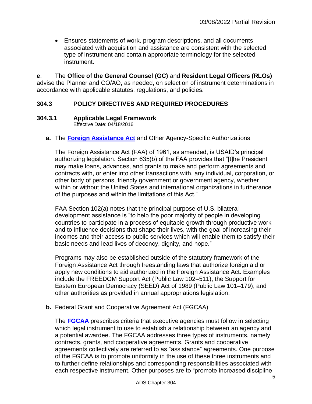Ensures statements of work, program descriptions, and all documents associated with acquisition and assistance are consistent with the selected type of instrument and contain appropriate terminology for the selected instrument.

**e**. The **Office of the General Counsel (GC)** and **Resident Legal Officers (RLOs)** advise the Planner and CO/AO, as needed, on selection of instrument determinations in accordance with applicable statutes, regulations, and policies.

# <span id="page-4-0"></span>**304.3 POLICY DIRECTIVES AND REQUIRED PROCEDURES**

#### <span id="page-4-1"></span>**304.3.1 Applicable Legal Framework**

Effective Date: 04/18/2016

**a.** The **[Foreign Assistance Act](https://www.google.com/url?sa=t&rct=j&q=&esrc=s&source=web&cd=3&cad=rja&uact=8&ved=0ahUKEwiphJOu9oHKAhVCPT4KHZFEBpQQFggrMAI&url=https%3A%2F%2Fwww.usaid.gov%2Fads%2Fpolicy%2Ffaa&usg=AFQjCNF90Y_Hz8m4kNemVMb8FB1__9yw2w&sig2=VSR7xBr0MQnvSOnT_I_Lqg)** and Other Agency-Specific Authorizations

The Foreign Assistance Act (FAA) of 1961, as amended, is USAID's principal authorizing legislation. Section 635(b) of the FAA provides that "[t]he President may make loans, advances, and grants to make and perform agreements and contracts with, or enter into other transactions with, any individual, corporation, or other body of persons, friendly government or government agency, whether within or without the United States and international organizations in furtherance of the purposes and within the limitations of this Act."

FAA Section 102(a) notes that the principal purpose of U.S. bilateral development assistance is "to help the poor majority of people in developing countries to participate in a process of equitable growth through productive work and to influence decisions that shape their lives, with the goal of increasing their incomes and their access to public services which will enable them to satisfy their basic needs and lead lives of decency, dignity, and hope."

Programs may also be established outside of the statutory framework of the Foreign Assistance Act through freestanding laws that authorize foreign aid or apply new conditions to aid authorized in the Foreign Assistance Act. Examples include the FREEDOM Support Act (Public Law 102–511), the Support for Eastern European Democracy (SEED) Act of 1989 (Public Law 101–179), and other authorities as provided in annual appropriations legislation.

**b.** Federal Grant and Cooperative Agreement Act (FGCAA)

The **[FGCAA](https://www.govinfo.gov/content/pkg/STATUTE-92/pdf/STATUTE-92-Pg3.pdf)** prescribes criteria that executive agencies must follow in selecting which legal instrument to use to establish a relationship between an agency and a potential awardee. The FGCAA addresses three types of instruments, namely contracts, grants, and cooperative agreements. Grants and cooperative agreements collectively are referred to as "assistance" agreements. One purpose of the FGCAA is to promote uniformity in the use of these three instruments and to further define relationships and corresponding responsibilities associated with each respective instrument. Other purposes are to "promote increased discipline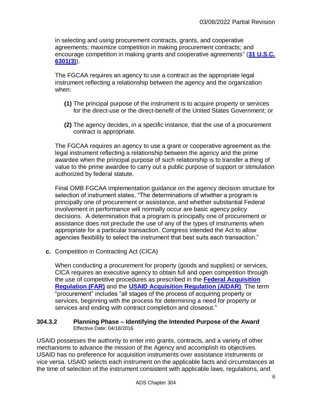in selecting and using procurement contracts, grants, and cooperative agreements; maximize competition in making procurement contracts; and encourage competition in making grants and cooperative agreements" (**[31 U.S.C.](http://uscode.house.gov/view.xhtml?req=(title:31%20section:6301%20edition:prelim)%20OR%20(granuleid:USC-prelim-title31-section6301)&f=treesort&edition=prelim&num=0&jumpTo=true)  [6301\(3\)](http://uscode.house.gov/view.xhtml?req=(title:31%20section:6301%20edition:prelim)%20OR%20(granuleid:USC-prelim-title31-section6301)&f=treesort&edition=prelim&num=0&jumpTo=true)**).

The FGCAA requires an agency to use a contract as the appropriate legal instrument reflecting a relationship between the agency and the organization when:

- **(1)** The principal purpose of the instrument is to acquire property or services for the direct-use or the direct-benefit of the United States Government; or
- **(2)** The agency decides, in a specific instance, that the use of a procurement contract is appropriate.

The FGCAA requires an agency to use a grant or cooperative agreement as the legal instrument reflecting a relationship between the agency and the prime awardee when the principal purpose of such relationship is to transfer a thing of value to the prime awardee to carry out a public purpose of support or stimulation authorized by federal statute.

Final OMB FGCAA implementation guidance on the agency decision structure for selection of instrument states, "The determinations of whether a program is principally one of procurement or assistance, and whether substantial Federal involvement in performance will normally occur are basic agency policy decisions. A determination that a program is principally one of procurement or assistance does not preclude the use of any of the types of instruments when appropriate for a particular transaction. Congress intended the Act to allow agencies flexibility to select the instrument that best suits each transaction."

**c.** Competition in Contracting Act (CICA)

When conducting a procurement for property (goods and supplies) or services, CICA requires an executive agency to obtain full and open competition through the use of competitive procedures as prescribed in the **[Federal Acquisition](https://www.acquisition.gov/?q=browsefar)  [Regulation \(FAR\)](https://www.acquisition.gov/?q=browsefar)** and the **[USAID Acquisition Regulation \(AIDAR\)](http://www.usaid.gov/ads/policy/300/aidar)**. The term "procurement" includes "all stages of the process of acquiring property or services, beginning with the process for determining a need for property or services and ending with contract completion and closeout."

#### <span id="page-5-0"></span>**304.3.2 Planning Phase – Identifying the Intended Purpose of the Award** Effective Date: 04/18/2016

USAID possesses the authority to enter into grants, contracts, and a variety of other mechanisms to advance the mission of the Agency and accomplish its objectives. USAID has no preference for acquisition instruments over assistance instruments or vice versa. USAID selects each instrument on the applicable facts and circumstances at the time of selection of the instrument consistent with applicable laws, regulations, and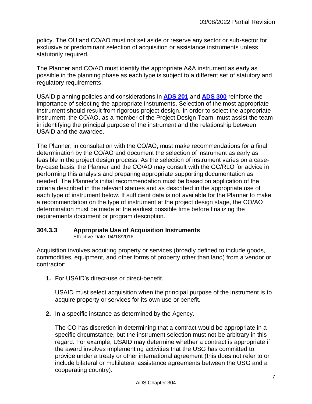policy. The OU and CO/AO must not set aside or reserve any sector or sub-sector for exclusive or predominant selection of acquisition or assistance instruments unless statutorily required.

The Planner and CO/AO must identify the appropriate A&A instrument as early as possible in the planning phase as each type is subject to a different set of statutory and regulatory requirements.

USAID planning policies and considerations in **[ADS 201](http://www.usaid.gov/ads/policy/200/201)** and **[ADS 300](http://www.usaid.gov/ads/policy/300/300)** reinforce the importance of selecting the appropriate instruments. Selection of the most appropriate instrument should result from rigorous project design. In order to select the appropriate instrument, the CO/AO, as a member of the Project Design Team, must assist the team in identifying the principal purpose of the instrument and the relationship between USAID and the awardee.

The Planner, in consultation with the CO/AO, must make recommendations for a final determination by the CO/AO and document the selection of instrument as early as feasible in the project design process. As the selection of instrument varies on a caseby-case basis, the Planner and the CO/AO may consult with the GC/RLO for advice in performing this analysis and preparing appropriate supporting documentation as needed. The Planner's initial recommendation must be based on application of the criteria described in the relevant statues and as described in the appropriate use of each type of instrument below. If sufficient data is not available for the Planner to make a recommendation on the type of instrument at the project design stage, the CO/AO determination must be made at the earliest possible time before finalizing the requirements document or program description.

# <span id="page-6-0"></span>**304.3.3 Appropriate Use of Acquisition Instruments**

Effective Date: 04/18/2016

Acquisition involves acquiring property or services (broadly defined to include goods, commodities, equipment, and other forms of property other than land) from a vendor or contractor:

**1.** For USAID's direct-use or direct-benefit.

USAID must select acquisition when the principal purpose of the instrument is to acquire property or services for its own use or benefit.

**2.** In a specific instance as determined by the Agency.

The CO has discretion in determining that a contract would be appropriate in a specific circumstance, but the instrument selection must not be arbitrary in this regard. For example, USAID may determine whether a contract is appropriate if the award involves implementing activities that the USG has committed to provide under a treaty or other international agreement (this does not refer to or include bilateral or multilateral assistance agreements between the USG and a cooperating country).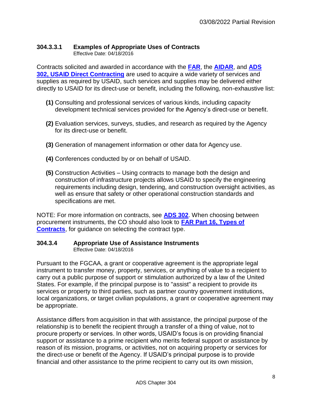# <span id="page-7-0"></span>**304.3.3.1 Examples of Appropriate Uses of Contracts**

Effective Date: 04/18/2016

Contracts solicited and awarded in accordance with the **[FAR](https://www.acquisition.gov/?q=browsefar)**, the **[AIDAR](http://www.usaid.gov/ads/policy/300/aidar)**, and **[ADS](http://www.usaid.gov/ads/policy/300/302)  [302, USAID Direct Contracting](http://www.usaid.gov/ads/policy/300/302)** are used to acquire a wide variety of services and supplies as required by USAID, such services and supplies may be delivered either directly to USAID for its direct-use or benefit, including the following, non-exhaustive list:

- **(1)** Consulting and professional services of various kinds, including capacity development technical services provided for the Agency's direct-use or benefit.
- **(2)** Evaluation services, surveys, studies, and research as required by the Agency for its direct-use or benefit.
- **(3)** Generation of management information or other data for Agency use.
- **(4)** Conferences conducted by or on behalf of USAID.
- **(5)** Construction Activities Using contracts to manage both the design and construction of infrastructure projects allows USAID to specify the engineering requirements including design, tendering, and construction oversight activities, as well as ensure that safety or other operational construction standards and specifications are met.

NOTE: For more information on contracts, see **[ADS 302](http://www.usaid.gov/ads/policy/300/302)**. When choosing between procurement instruments, the CO should also look to **[FAR Part 16, Types of](https://www.acquisition.gov/?q=/browse/far/16)  [Contracts](https://www.acquisition.gov/?q=/browse/far/16)**, for guidance on selecting the contract type.

#### <span id="page-7-1"></span>**304.3.4 Appropriate Use of Assistance Instruments** Effective Date: 04/18/2016

Pursuant to the FGCAA, a grant or cooperative agreement is the appropriate legal instrument to transfer money, property, services, or anything of value to a recipient to carry out a public purpose of support or stimulation authorized by a law of the United States. For example, if the principal purpose is to "assist" a recipient to provide its services or property to third parties, such as partner country government institutions, local organizations, or target civilian populations, a grant or cooperative agreement may be appropriate.

Assistance differs from acquisition in that with assistance, the principal purpose of the relationship is to benefit the recipient through a transfer of a thing of value, not to procure property or services. In other words, USAID's focus is on providing financial support or assistance to a prime recipient who merits federal support or assistance by reason of its mission, programs, or activities, not on acquiring property or services for the direct-use or benefit of the Agency. If USAID's principal purpose is to provide financial and other assistance to the prime recipient to carry out its own mission,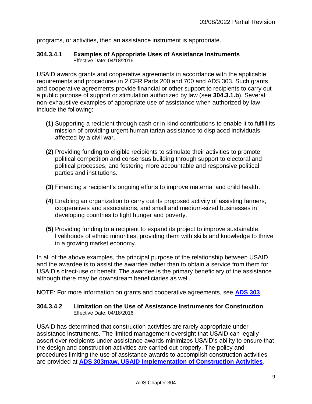programs, or activities, then an assistance instrument is appropriate.

#### <span id="page-8-0"></span>**304.3.4.1 Examples of Appropriate Uses of Assistance Instruments** Effective Date: 04/18/2016

USAID awards grants and cooperative agreements in accordance with the applicable requirements and procedures in 2 CFR Parts 200 and 700 and ADS 303. Such grants and cooperative agreements provide financial or other support to recipients to carry out a public purpose of support or stimulation authorized by law (see **304.3.1.b**). Several non-exhaustive examples of appropriate use of assistance when authorized by law include the following:

- **(1)** Supporting a recipient through cash or in-kind contributions to enable it to fulfill its mission of providing urgent humanitarian assistance to displaced individuals affected by a civil war.
- **(2)** Providing funding to eligible recipients to stimulate their activities to promote political competition and consensus building through support to electoral and political processes, and fostering more accountable and responsive political parties and institutions.
- **(3)** Financing a recipient's ongoing efforts to improve maternal and child health.
- **(4)** Enabling an organization to carry out its proposed activity of assisting farmers, cooperatives and associations, and small and medium-sized businesses in developing countries to fight hunger and poverty.
- **(5)** Providing funding to a recipient to expand its project to improve sustainable livelihoods of ethnic minorities, providing them with skills and knowledge to thrive in a growing market economy.

In all of the above examples, the principal purpose of the relationship between USAID and the awardee is to assist the awardee rather than to obtain a service from them for USAID's direct-use or benefit. The awardee is the primary beneficiary of the assistance although there may be downstream beneficiaries as well.

NOTE: For more information on grants and cooperative agreements, see **[ADS 303](https://www.usaid.gov/ads/policy/300/303)**.

#### <span id="page-8-1"></span>**304.3.4.2 Limitation on the Use of Assistance Instruments for Construction** Effective Date: 04/18/2016

USAID has determined that construction activities are rarely appropriate under assistance instruments. The limited management oversight that USAID can legally assert over recipients under assistance awards minimizes USAID's ability to ensure that the design and construction activities are carried out properly. The policy and procedures limiting the use of assistance awards to accomplish construction activities are provided at **[ADS 303maw, USAID Implementation of Construction Activities](http://www.usaid.gov/ads/policy/300/303maw)**.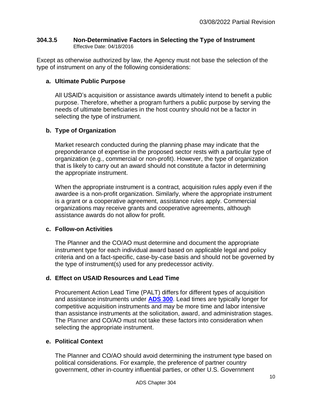# <span id="page-9-0"></span>**304.3.5 Non-Determinative Factors in Selecting the Type of Instrument**  Effective Date: 04/18/2016

Except as otherwise authorized by law, the Agency must not base the selection of the type of instrument on any of the following considerations:

# **a. Ultimate Public Purpose**

All USAID's acquisition or assistance awards ultimately intend to benefit a public purpose. Therefore, whether a program furthers a public purpose by serving the needs of ultimate beneficiaries in the host country should not be a factor in selecting the type of instrument.

# **b. Type of Organization**

Market research conducted during the planning phase may indicate that the preponderance of expertise in the proposed sector rests with a particular type of organization (e.g., commercial or non-profit). However, the type of organization that is likely to carry out an award should not constitute a factor in determining the appropriate instrument.

When the appropriate instrument is a contract, acquisition rules apply even if the awardee is a non-profit organization. Similarly, where the appropriate instrument is a grant or a cooperative agreement, assistance rules apply. Commercial organizations may receive grants and cooperative agreements, although assistance awards do not allow for profit.

# **c. Follow-on Activities**

The Planner and the CO/AO must determine and document the appropriate instrument type for each individual award based on applicable legal and policy criteria and on a fact-specific, case-by-case basis and should not be governed by the type of instrument(s) used for any predecessor activity.

# **d. Effect on USAID Resources and Lead Time**

Procurement Action Lead Time (PALT) differs for different types of acquisition and assistance instruments under **[ADS 300](http://www.usaid.gov/ads/policy/300/300)**. Lead times are typically longer for competitive acquisition instruments and may be more time and labor intensive than assistance instruments at the solicitation, award, and administration stages. The Planner and CO/AO must not take these factors into consideration when selecting the appropriate instrument.

# **e. Political Context**

The Planner and CO/AO should avoid determining the instrument type based on political considerations. For example, the preference of partner country government, other in-country influential parties, or other U.S. Government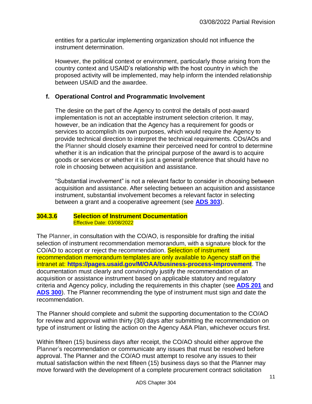entities for a particular implementing organization should not influence the instrument determination.

However, the political context or environment, particularly those arising from the country context and USAID's relationship with the host country in which the proposed activity will be implemented, may help inform the intended relationship between USAID and the awardee.

# **f. Operational Control and Programmatic Involvement**

The desire on the part of the Agency to control the details of post-award implementation is not an acceptable instrument selection criterion. It may, however, be an indication that the Agency has a requirement for goods or services to accomplish its own purposes, which would require the Agency to provide technical direction to interpret the technical requirements. COs/AOs and the Planner should closely examine their perceived need for control to determine whether it is an indication that the principal purpose of the award is to acquire goods or services or whether it is just a general preference that should have no role in choosing between acquisition and assistance.

"Substantial involvement" is not a relevant factor to consider in choosing between acquisition and assistance. After selecting between an acquisition and assistance instrument, substantial involvement becomes a relevant factor in selecting between a grant and a cooperative agreement (see **[ADS 303](http://www.usaid.gov/ads/policy/300/303)**).

#### <span id="page-10-0"></span>**304.3.6 Selection of Instrument Documentation**  Effective Date: 03/08/2022

The Planner, in consultation with the CO/AO, is responsible for drafting the initial selection of instrument recommendation memorandum, with a signature block for the CO/AO to accept or reject the recommendation. Selection of instrument recommendation memorandum templates are only available to Agency staff on the intranet at: **<https://pages.usaid.gov/M/OAA/business-process-improvement>**. The documentation must clearly and convincingly justify the recommendation of an acquisition or assistance instrument based on applicable statutory and regulatory criteria and Agency policy, including the requirements in this chapter (see **[ADS 201](http://www.usaid.gov/ads/policy/200/201)** and **[ADS 300](http://www.usaid.gov/ads/policy/300/300)**). The Planner recommending the type of instrument must sign and date the recommendation.

The Planner should complete and submit the supporting documentation to the CO/AO for review and approval within thirty (30) days after submitting the recommendation on type of instrument or listing the action on the Agency A&A Plan, whichever occurs first.

Within fifteen (15) business days after receipt, the CO/AO should either approve the Planner's recommendation or communicate any issues that must be resolved before approval. The Planner and the CO/AO must attempt to resolve any issues to their mutual satisfaction within the next fifteen (15) business days so that the Planner may move forward with the development of a complete procurement contract solicitation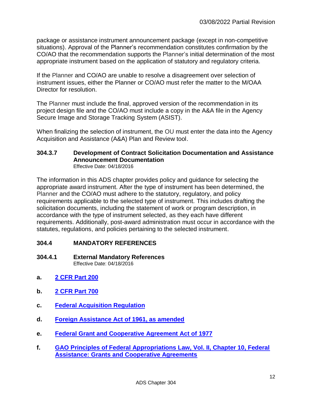package or assistance instrument announcement package (except in non-competitive situations). Approval of the Planner's recommendation constitutes confirmation by the CO/AO that the recommendation supports the Planner's initial determination of the most appropriate instrument based on the application of statutory and regulatory criteria.

If the Planner and CO/AO are unable to resolve a disagreement over selection of instrument issues, either the Planner or CO/AO must refer the matter to the M/OAA Director for resolution.

The Planner must include the final, approved version of the recommendation in its project design file and the CO/AO must include a copy in the A&A file in the Agency Secure Image and Storage Tracking System (ASIST).

When finalizing the selection of instrument, the OU must enter the data into the Agency Acquisition and Assistance (A&A) Plan and Review tool.

#### <span id="page-11-0"></span>**304.3.7 Development of Contract Solicitation Documentation and Assistance Announcement Documentation** Effective Date: 04/18/2016

The information in this ADS chapter provides policy and guidance for selecting the appropriate award instrument. After the type of instrument has been determined, the Planner and the CO/AO must adhere to the statutory, regulatory, and policy requirements applicable to the selected type of instrument. This includes drafting the solicitation documents, including the statement of work or program description, in accordance with the type of instrument selected, as they each have different requirements. Additionally, post-award administration must occur in accordance with the statutes, regulations, and policies pertaining to the selected instrument.

# <span id="page-11-1"></span>**304.4 MANDATORY REFERENCES**

#### <span id="page-11-2"></span>**304.4.1 External Mandatory References** Effective Date: 04/18/2016

- **a. [2 CFR Part 200](http://www.ecfr.gov/cgi-bin/text-idx?SID=10f34cdb5df1422174358acaaea3bfad&node=se2.1.200_1201&rgn=div8)**
- **b. [2 CFR Part 700](https://www.ecfr.gov/current/title-2/subtitle-B/chapter-VII/part-700)**
- **c. [Federal Acquisition Regulation](http://www.gpo.gov/fdsys/pkg/CFR-2003-title48-vol1/content-detail.html)**
- **d. Foreign [Assistance Act of 1961, as amended](http://www.gpo.gov/fdsys/pkg/CPRT-111JPRT51120/pdf/CPRT-111JPRT51120.pdf)**
- **e. [Federal Grant and Cooperative Agreement Act of 1977](https://www.govinfo.gov/content/pkg/STATUTE-92/pdf/STATUTE-92-Pg3.pdf)**
- **f. [GAO Principles of Federal Appropriations Law, Vol. II, Chapter 10, Federal](http://www.gao.gov/products/GAO-06-382SP)  [Assistance: Grants and Cooperative Agreements](http://www.gao.gov/products/GAO-06-382SP)**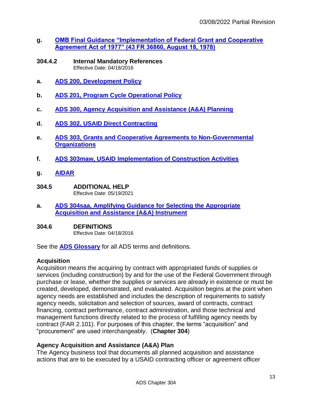- **g. [OMB Final Guidance "Implementation of Federal Grant and Cooperative](http://2010-2014.commerce.gov/sites/default/files/documents/2011/september/omb-grants-and-contracts-guide-1978.pdf)  [Agreement Act of 1977" \(43 FR 36860, August 18, 1978\)](http://2010-2014.commerce.gov/sites/default/files/documents/2011/september/omb-grants-and-contracts-guide-1978.pdf)**
- <span id="page-12-0"></span>**304.4.2 Internal Mandatory References** Effective Date: 04/18/2016
- **a. [ADS 200, Development](http://www.usaid.gov/ads/policy/200/200) Policy**
- **b. [ADS 201, Program Cycle Operational Policy](http://www.usaid.gov/ads/policy/200/201)**
- **c. [ADS 300, Agency Acquisition and Assistance \(A&A\) Planning](http://www.usaid.gov/ads/policy/300/300)**
- **d. [ADS 302, USAID Direct Contracting](http://www.usaid.gov/ads/policy/300/302)**
- **e. [ADS 303, Grants and Cooperative Agreements to Non-Governmental](http://www.usaid.gov/ads/policy/300/303)  [Organizations](http://www.usaid.gov/ads/policy/300/303)**
- **f. [ADS 303maw, USAID Implementation of Construction Activities](http://www.usaid.gov/ads/policy/300/303maw)**
- **g. [AIDAR](http://www.usaid.gov/ads/policy/300/aidar)**
- <span id="page-12-1"></span>**304.5 ADDITIONAL HELP** Effective Date: 05/19/2021
- **a. [ADS 304saa, Amplifying Guidance for Selecting the Appropriate](http://www.usaid.gov/ads/policy/300/304saa)  [Acquisition and Assistance \(A&A\) Instrument](http://www.usaid.gov/ads/policy/300/304saa)**

#### <span id="page-12-2"></span>**304.6 DEFINITIONS**

Effective Date: 04/18/2016

See the **[ADS Glossary](https://www.usaid.gov/ads/policy/glossary)** for all ADS terms and definitions.

# **Acquisition**

Acquisition means the acquiring by contract with appropriated funds of supplies or services (including construction) by and for the use of the Federal Government through purchase or lease, whether the supplies or services are already in existence or must be created, developed, demonstrated, and evaluated. Acquisition begins at the point when agency needs are established and includes the description of requirements to satisfy agency needs, solicitation and selection of sources, award of contracts, contract financing, contract performance, contract administration, and those technical and management functions directly related to the process of fulfilling agency needs by contract (FAR 2.101). For purposes of this chapter, the terms "acquisition" and "procurement" are used interchangeably. (**Chapter 304**)

# **Agency Acquisition and Assistance (A&A) Plan**

The Agency business tool that documents all planned acquisition and assistance actions that are to be executed by a USAID contracting officer or agreement officer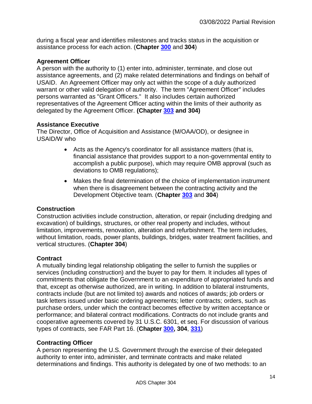during a fiscal year and identifies milestones and tracks status in the acquisition or assistance process for each action. (**Chapter [300](http://www.usaid.gov/ads/policy/300/300)** and **304**)

# **Agreement Officer**

A person with the authority to (1) enter into, administer, terminate, and close out assistance agreements, and (2) make related determinations and findings on behalf of USAID. An Agreement Officer may only act within the scope of a duly authorized warrant or other valid delegation of authority. The term "Agreement Officer" includes persons warranted as "Grant Officers." It also includes certain authorized representatives of the Agreement Officer acting within the limits of their authority as delegated by the Agreement Officer. **(Chapter [303](http://www.usaid.gov/ads/policy/300/303) and 304)**

# **Assistance Executive**

The Director, Office of Acquisition and Assistance (M/OAA/OD), or designee in USAID/W who

- Acts as the Agency's coordinator for all assistance matters (that is, financial assistance that provides support to a non-governmental entity to accomplish a public purpose), which may require OMB approval (such as deviations to OMB regulations);
- Makes the final determination of the choice of implementation instrument when there is disagreement between the contracting activity and the Development Objective team. (**Chapter [303](http://www.usaid.gov/ads/policy/300/303)** and **304**)

# **Construction**

Construction activities include construction, alteration, or repair (including dredging and excavation) of buildings, structures, or other real property and includes, without limitation, improvements, renovation, alteration and refurbishment. The term includes, without limitation, roads, power plants, buildings, bridges, water treatment facilities, and vertical structures. (**Chapter 304**)

# **Contract**

A mutually binding legal relationship obligating the seller to furnish the supplies or services (including construction) and the buyer to pay for them. It includes all types of commitments that obligate the Government to an expenditure of appropriated funds and that, except as otherwise authorized, are in writing. In addition to bilateral instruments, contracts include (but are not limited to) awards and notices of awards; job orders or task letters issued under basic ordering agreements; letter contracts; orders, such as purchase orders, under which the contract becomes effective by written acceptance or performance; and bilateral contract modifications. Contracts do not include grants and cooperative agreements covered by 31 U.S.C. 6301, et seq. For discussion of various types of contracts, see FAR Part 16. (**Chapter [300,](http://www.usaid.gov/ads/policy/300/300) 304**, **[331](http://www.usaid.gov/ads/policy/300/331)**)

# **Contracting Officer**

A person representing the U.S. Government through the exercise of their delegated authority to enter into, administer, and terminate contracts and make related determinations and findings. This authority is delegated by one of two methods: to an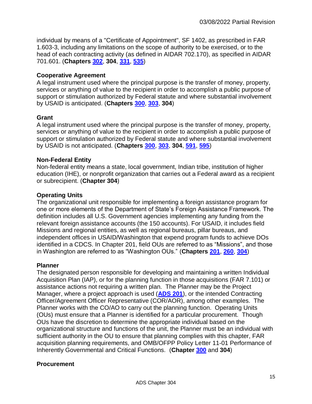individual by means of a "Certificate of Appointment", SF 1402, as prescribed in FAR 1.603-3, including any limitations on the scope of authority to be exercised, or to the head of each contracting activity (as defined in AIDAR 702.170), as specified in AIDAR 701.601. (**Chapters [302](http://www.usaid.gov/ads/policy/300/302)**, **304**, **[331](http://www.usaid.gov/ads/policy/300/331)**, **[535](http://www.usaid.gov/ads/policy/500/535)**)

# **Cooperative Agreement**

A legal instrument used where the principal purpose is the transfer of money, property, services or anything of value to the recipient in order to accomplish a public purpose of support or stimulation authorized by Federal statute and where substantial involvement by USAID is anticipated. (**Chapters [300](http://www.usaid.gov/ads/policy/300/300)**, **[303](http://www.usaid.gov/ads/policy/300/303)**, **304**)

# **Grant**

A legal instrument used where the principal purpose is the transfer of money, property, services or anything of value to the recipient in order to accomplish a public purpose of support or stimulation authorized by Federal statute and where substantial involvement by USAID is not anticipated. (**Chapters [300](http://www.usaid.gov/ads/policy/300/300)**, **[303](http://www.usaid.gov/ads/policy/300/303)**, **304**, **[591](http://www.usaid.gov/ads/policy/500/591)**, **[595](http://www.usaid.gov/ads/policy/500/595)**)

# **Non-Federal Entity**

Non-federal entity means a state, local government, Indian tribe, institution of higher education (IHE), or nonprofit organization that carries out a Federal award as a recipient or subrecipient. (**Chapter 304**)

# **Operating Units**

The organizational unit responsible for implementing a foreign assistance program for one or more elements of the Department of State's Foreign Assistance Framework. The definition includes all U.S. Government agencies implementing any funding from the relevant foreign assistance accounts (the 150 accounts). For USAID, it includes field Missions and regional entities, as well as regional bureaus, pillar bureaus, and independent offices in USAID/Washington that expend program funds to achieve DOs identified in a CDCS. In Chapter 201, field OUs are referred to as "Missions", and those in Washington are referred to as "Washington OUs." (**Chapters [201](http://www.usaid.gov/ads/policy/200/201)**, **[260](http://www.usaid.gov/ads/policy/200/260)**, **[304](http://www.usaid.gov/ads/policy/300/304)**)

# **Planner**

The designated person responsible for developing and maintaining a written Individual Acquisition Plan (IAP), or for the planning function in those acquisitions (FAR 7.101) or assistance actions not requiring a written plan. The Planner may be the Project Manager, where a project approach is used (**[ADS 201](http://www.usaid.gov/ads/policy/200/201)**), or the intended Contracting Officer/Agreement Officer Representative (COR/AOR), among other examples. The Planner works with the CO/AO to carry out the planning function. Operating Units (OUs) must ensure that a Planner is identified for a particular procurement. Though OUs have the discretion to determine the appropriate individual based on the organizational structure and functions of the unit, the Planner must be an individual with sufficient authority in the OU to ensure that planning complies with this chapter, FAR acquisition planning requirements, and OMB/OFPP Policy Letter 11-01 Performance of Inherently Governmental and Critical Functions. (**Chapter [300](http://www.usaid.gov/ads/policy/300/300)** and **304**)

# **Procurement**